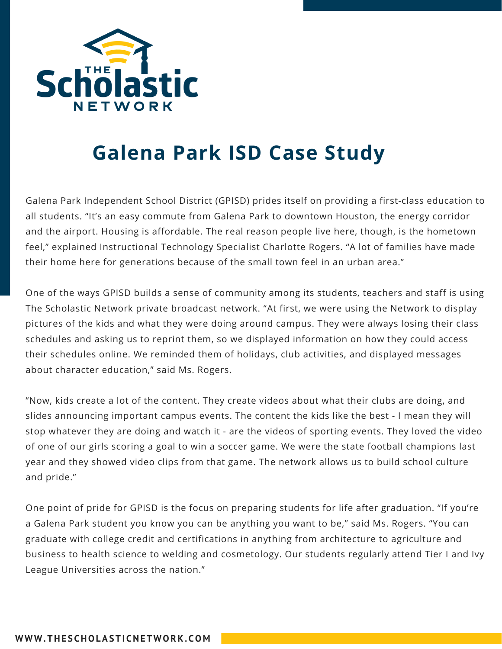

## **Galena Park ISD Case Study**

Galena Park Independent School District (GPISD) prides itself on providing a first-class education to all students. "It's an easy commute from Galena Park to downtown Houston, the energy corridor and the airport. Housing is affordable. The real reason people live here, though, is the hometown feel," explained Instructional Technology Specialist Charlotte Rogers. "A lot of families have made their home here for generations because of the small town feel in an urban area."

One of the ways GPISD builds a sense of community among its students, teachers and staff is using The Scholastic Network private broadcast network. "At first, we were using the Network to display pictures of the kids and what they were doing around campus. They were always losing their class schedules and asking us to reprint them, so we displayed information on how they could access their schedules online. We reminded them of holidays, club activities, and displayed messages about character education," said Ms. Rogers.

"Now, kids create a lot of the content. They create videos about what their clubs are doing, and slides announcing important campus events. The content the kids like the best - I mean they will stop whatever they are doing and watch it - are the videos of sporting events. They loved the video of one of our girls scoring a goal to win a soccer game. We were the state football champions last year and they showed video clips from that game. The network allows us to build school culture and pride."

One point of pride for GPISD is the focus on preparing students for life after graduation. "If you're a Galena Park student you know you can be anything you want to be," said Ms. Rogers. "You can graduate with college credit and certifications in anything from architecture to agriculture and business to health science to welding and cosmetology. Our students regularly attend Tier I and Ivy League Universities across the nation."